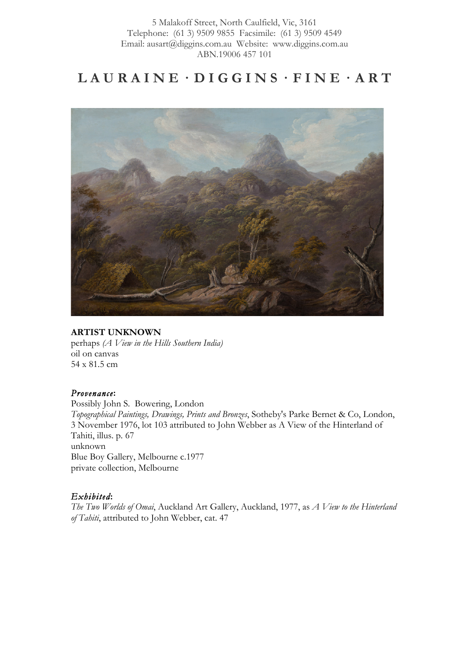5 Malakoff Street, North Caulfield, Vic, 3161 Telephone: (61 3) 9509 9855 Facsimile: (61 3) 9509 4549 Email: ausart@diggins.com.au Website: www.diggins.com.au ABN.19006 457 101

# $LAURAINE \cdot DIGGINS \cdot FINE \cdot ART$



### **ARTIST UNKNOWN**

perhaps *(A View in the Hills Southern India)*  oil on canvas 54 x 81.5 cm

#### *Provenance***:**

Possibly John S. Bowering, London *Topographical Paintings, Drawings, Prints and Bronzes*, Sotheby's Parke Bernet & Co, London, 3 November 1976, lot 103 attributed to John Webber as A View of the Hinterland of Tahiti, illus. p. 67 unknown Blue Boy Gallery, Melbourne c.1977 private collection, Melbourne

#### *Exhibited***:**

*The Two Worlds of Omai*, Auckland Art Gallery, Auckland, 1977, as *A View to the Hinterland of Tahiti*, attributed to John Webber, cat. 47